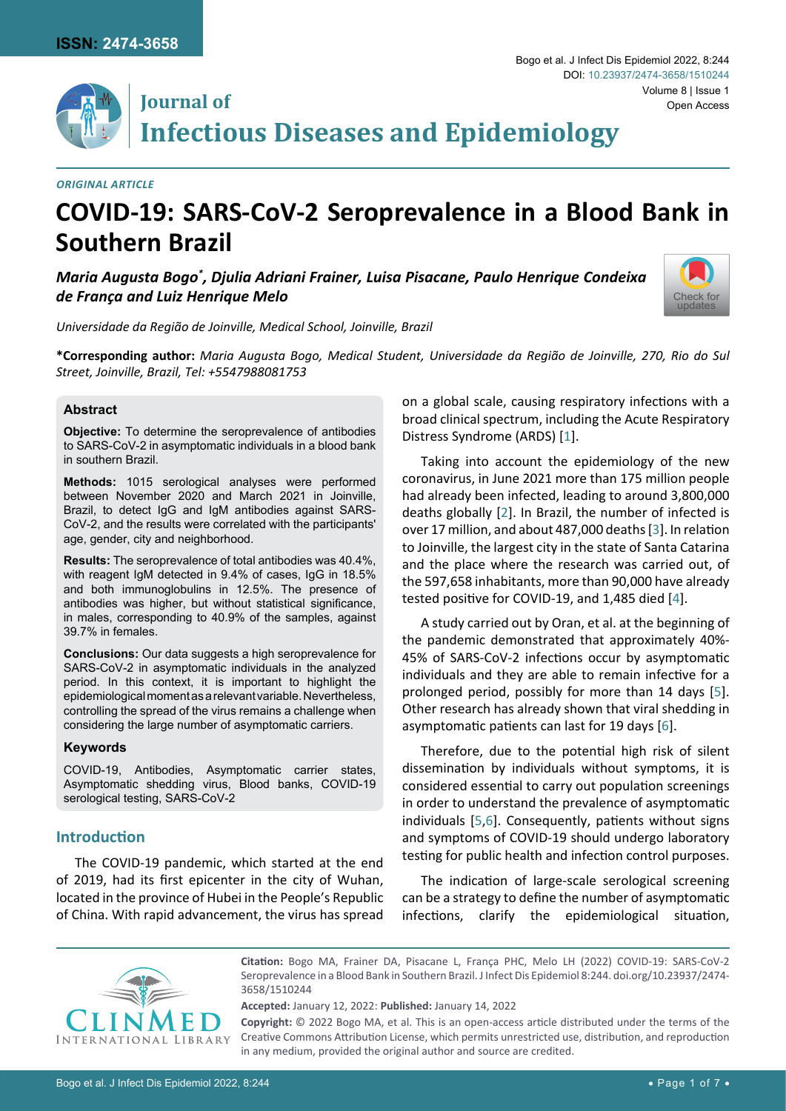

## **Journal of Infectious Diseases and Epidemiology**

*Original Article*

# **COVID-19: SARS-CoV-2 Seroprevalence in a Blood Bank in Southern Brazil**

*Maria Augusta Bogo\* , Djulia Adriani Frainer, Luisa Pisacane, Paulo Henrique Condeixa de França and Luiz Henrique Melo*



*Universidade da Região de Joinville, Medical School, Joinville, Brazil*

**\*Corresponding author:** *Maria Augusta Bogo, Medical Student, Universidade da Região de Joinville, 270, Rio do Sul Street, Joinville, Brazil, Tel: +5547988081753*

## **Abstract**

**Objective:** To determine the seroprevalence of antibodies to SARS-CoV-2 in asymptomatic individuals in a blood bank in southern Brazil.

**Methods:** 1015 serological analyses were performed between November 2020 and March 2021 in Joinville, Brazil, to detect IgG and IgM antibodies against SARS-CoV-2, and the results were correlated with the participants' age, gender, city and neighborhood.

**Results:** The seroprevalence of total antibodies was 40.4%, with reagent IgM detected in 9.4% of cases, IgG in 18.5% and both immunoglobulins in 12.5%. The presence of antibodies was higher, but without statistical significance, in males, corresponding to 40.9% of the samples, against 39.7% in females.

**Conclusions:** Our data suggests a high seroprevalence for SARS-CoV-2 in asymptomatic individuals in the analyzed period. In this context, it is important to highlight the epidemiological moment as a relevant variable. Nevertheless, controlling the spread of the virus remains a challenge when considering the large number of asymptomatic carriers.

## **Keywords**

COVID-19, Antibodies, Asymptomatic carrier states, Asymptomatic shedding virus, Blood banks, COVID-19 serological testing, SARS-CoV-2

## **Introduction**

The COVID-19 pandemic, which started at the end of 2019, had its first epicenter in the city of Wuhan, located in the province of Hubei in the People's Republic of China. With rapid advancement, the virus has spread on a global scale, causing respiratory infections with a broad clinical spectrum, including the Acute Respiratory Distress Syndrome (ARDS) [\[1\]](#page-5-0).

Taking into account the epidemiology of the new coronavirus, in June 2021 more than 175 million people had already been infected, leading to around 3,800,000 deaths globally [[2](#page-5-1)]. In Brazil, the number of infected is over 17 million, and about 487,000 deaths [[3](#page-5-2)]. In relation to Joinville, the largest city in the state of Santa Catarina and the place where the research was carried out, of the 597,658 inhabitants, more than 90,000 have already tested positive for COVID-19, and 1,485 died [[4](#page-5-3)].

A study carried out by Oran, et al. at the beginning of the pandemic demonstrated that approximately 40%- 45% of SARS-CoV-2 infections occur by asymptomatic individuals and they are able to remain infective for a prolonged period, possibly for more than 14 days [[5\]](#page-5-4). Other research has already shown that viral shedding in asymptomatic patients can last for 19 days [[6\]](#page-5-5).

Therefore, due to the potential high risk of silent dissemination by individuals without symptoms, it is considered essential to carry out population screenings in order to understand the prevalence of asymptomatic individuals [[5](#page-5-4)[,6](#page-5-5)]. Consequently, patients without signs and symptoms of COVID-19 should undergo laboratory testing for public health and infection control purposes.

The indication of large-scale serological screening can be a strategy to define the number of asymptomatic infections, clarify the epidemiological situation,



**Citation:** Bogo MA, Frainer DA, Pisacane L, França PHC, Melo LH (2022) COVID-19: SARS-CoV-2 Seroprevalence in a Blood Bank in Southern Brazil. J Infect Dis Epidemiol 8:244. [doi.org/10.23937/2474-](https://doi.org/10.23937/2474-3658/1510244) [3658/1510244](https://doi.org/10.23937/2474-3658/1510244)

**Accepted:** January 12, 2022: **Published:** January 14, 2022

**Copyright:** © 2022 Bogo MA, et al. This is an open-access article distributed under the terms of the Creative Commons Attribution License, which permits unrestricted use, distribution, and reproduction in any medium, provided the original author and source are credited.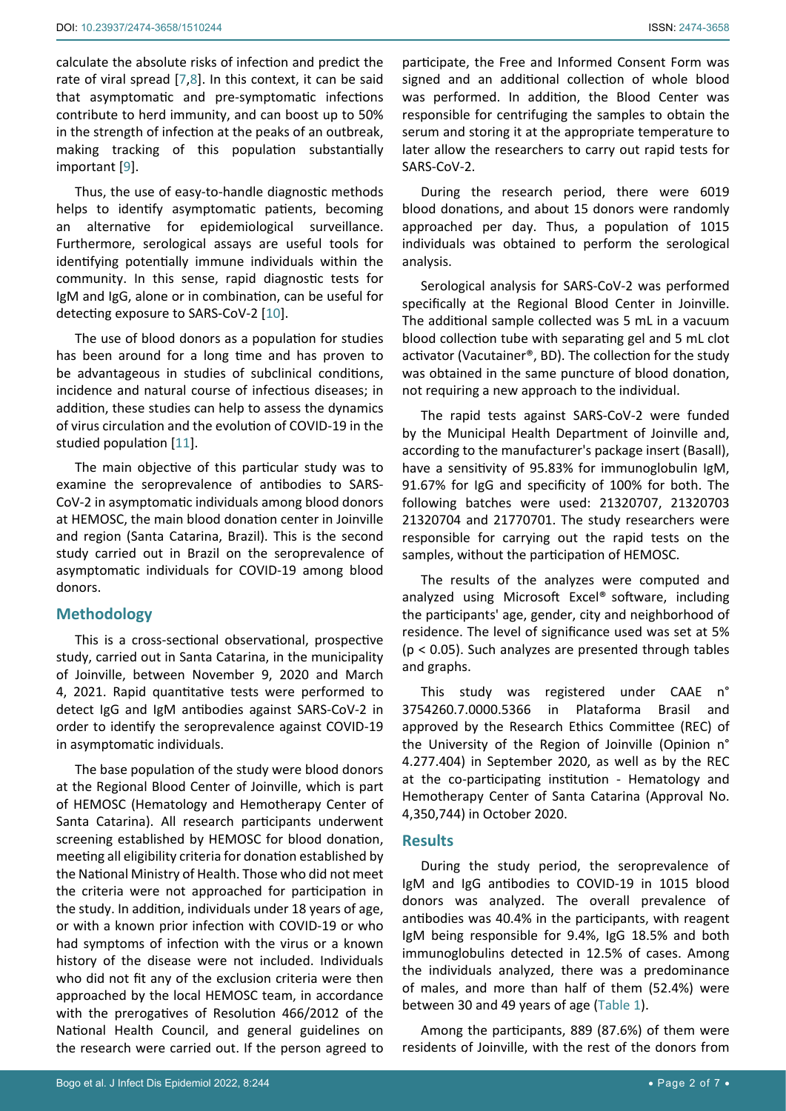calculate the absolute risks of infection and predict the rate of viral spread [[7](#page-5-6),[8](#page-5-7)]. In this context, it can be said that asymptomatic and pre-symptomatic infections contribute to herd immunity, and can boost up to 50% in the strength of infection at the peaks of an outbreak, making tracking of this population substantially important [[9](#page-5-8)].

Thus, the use of easy-to-handle diagnostic methods helps to identify asymptomatic patients, becoming an alternative for epidemiological surveillance. Furthermore, serological assays are useful tools for identifying potentially immune individuals within the community. In this sense, rapid diagnostic tests for IgM and IgG, alone or in combination, can be useful for detecting exposure to SARS-CoV-2 [[10](#page-5-9)].

The use of blood donors as a population for studies has been around for a long time and has proven to be advantageous in studies of subclinical conditions, incidence and natural course of infectious diseases; in addition, these studies can help to assess the dynamics of virus circulation and the evolution of COVID-19 in the studied population [[11](#page-5-10)].

The main objective of this particular study was to examine the seroprevalence of antibodies to SARS-CoV-2 in asymptomatic individuals among blood donors at HEMOSC, the main blood donation center in Joinville and region (Santa Catarina, Brazil). This is the second study carried out in Brazil on the seroprevalence of asymptomatic individuals for COVID-19 among blood donors.

## **Methodology**

This is a cross-sectional observational, prospective study, carried out in Santa Catarina, in the municipality of Joinville, between November 9, 2020 and March 4, 2021. Rapid quantitative tests were performed to detect IgG and IgM antibodies against SARS-CoV-2 in order to identify the seroprevalence against COVID-19 in asymptomatic individuals.

The base population of the study were blood donors at the Regional Blood Center of Joinville, which is part of HEMOSC (Hematology and Hemotherapy Center of Santa Catarina). All research participants underwent screening established by HEMOSC for blood donation, meeting all eligibility criteria for donation established by the National Ministry of Health. Those who did not meet the criteria were not approached for participation in the study. In addition, individuals under 18 years of age, or with a known prior infection with COVID-19 or who had symptoms of infection with the virus or a known history of the disease were not included. Individuals who did not fit any of the exclusion criteria were then approached by the local HEMOSC team, in accordance with the prerogatives of Resolution 466/2012 of the National Health Council, and general guidelines on the research were carried out. If the person agreed to

participate, the Free and Informed Consent Form was signed and an additional collection of whole blood was performed. In addition, the Blood Center was responsible for centrifuging the samples to obtain the serum and storing it at the appropriate temperature to later allow the researchers to carry out rapid tests for SARS-CoV-2.

During the research period, there were 6019 blood donations, and about 15 donors were randomly approached per day. Thus, a population of 1015 individuals was obtained to perform the serological analysis.

Serological analysis for SARS-CoV-2 was performed specifically at the Regional Blood Center in Joinville. The additional sample collected was 5 mL in a vacuum blood collection tube with separating gel and 5 mL clot activator (Vacutainer®, BD). The collection for the study was obtained in the same puncture of blood donation, not requiring a new approach to the individual.

The rapid tests against SARS-CoV-2 were funded by the Municipal Health Department of Joinville and, according to the manufacturer's package insert (Basall), have a sensitivity of 95.83% for immunoglobulin IgM, 91.67% for IgG and specificity of 100% for both. The following batches were used: 21320707, 21320703 21320704 and 21770701. The study researchers were responsible for carrying out the rapid tests on the samples, without the participation of HEMOSC.

The results of the analyzes were computed and analyzed using Microsoft Excel® software, including the participants' age, gender, city and neighborhood of residence. The level of significance used was set at 5% (p < 0.05). Such analyzes are presented through tables and graphs.

This study was registered under CAAE 3754260.7.0000.5366 in Plataforma Brasil and approved by the Research Ethics Committee (REC) of the University of the Region of Joinville (Opinion n° 4.277.404) in September 2020, as well as by the REC at the co-participating institution - Hematology and Hemotherapy Center of Santa Catarina (Approval No. 4,350,744) in October 2020.

## **Results**

During the study period, the seroprevalence of IgM and IgG antibodies to COVID-19 in 1015 blood donors was analyzed. The overall prevalence of antibodies was 40.4% in the participants, with reagent IgM being responsible for 9.4%, IgG 18.5% and both immunoglobulins detected in 12.5% of cases. Among the individuals analyzed, there was a predominance of males, and more than half of them (52.4%) were between 30 and 49 years of age [\(Table 1](#page-2-0)).

Among the participants, 889 (87.6%) of them were residents of Joinville, with the rest of the donors from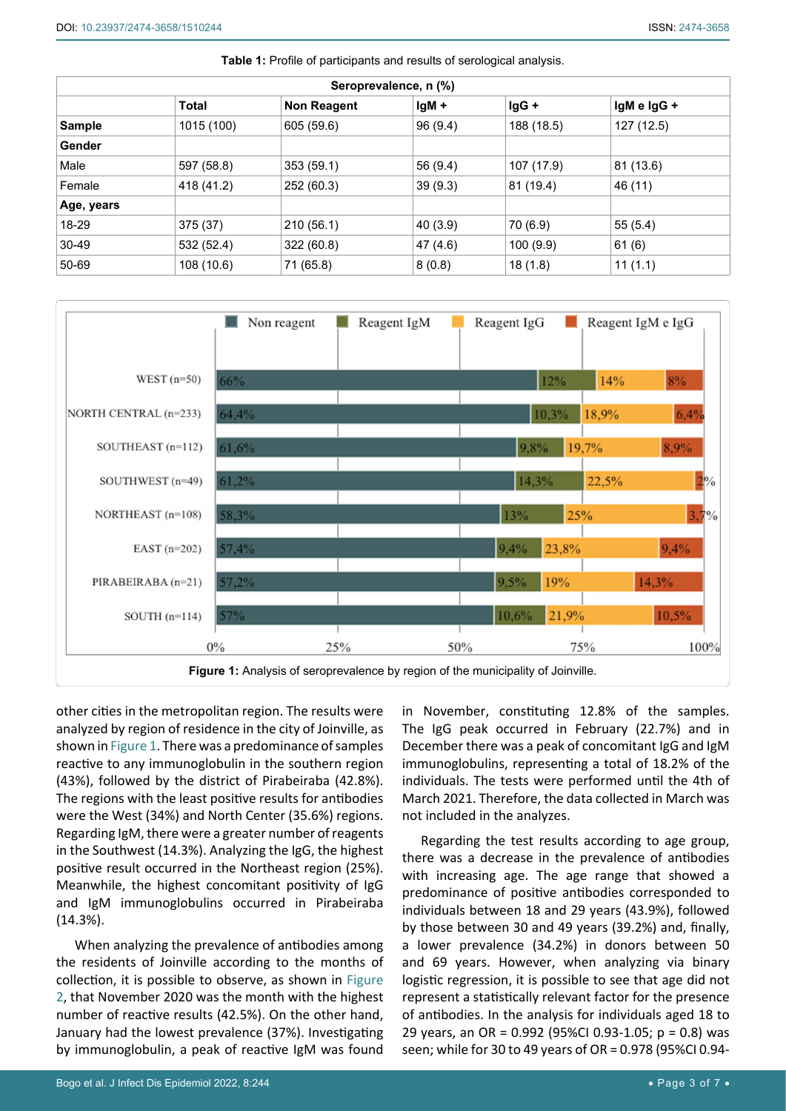| Seroprevalence, n (%) |              |                    |          |            |             |
|-----------------------|--------------|--------------------|----------|------------|-------------|
|                       | <b>Total</b> | <b>Non Reagent</b> | $lgM +$  | lgG +      | lgM e IgG + |
| <b>Sample</b>         | 1015 (100)   | 605 (59.6)         | 96(9.4)  | 188 (18.5) | 127 (12.5)  |
| Gender                |              |                    |          |            |             |
| Male                  | 597 (58.8)   | 353(59.1)          | 56 (9.4) | 107 (17.9) | 81 (13.6)   |
| Female                | 418 (41.2)   | 252 (60.3)         | 39(9.3)  | 81 (19.4)  | 46 (11)     |
| Age, years            |              |                    |          |            |             |
| 18-29                 | 375 (37)     | 210(56.1)          | 40(3.9)  | 70 (6.9)   | 55(5.4)     |
| 30-49                 | 532 (52.4)   | 322(60.8)          | 47 (4.6) | 100(9.9)   | 61(6)       |
| 50-69                 | 108 (10.6)   | 71 (65.8)          | 8(0.8)   | 18(1.8)    | 11(1.1)     |

<span id="page-2-0"></span>

<span id="page-2-1"></span>

other cities in the metropolitan region. The results were analyzed by region of residence in the city of Joinville, as shown in [Figure 1](#page-2-1). There was a predominance of samples reactive to any immunoglobulin in the southern region (43%), followed by the district of Pirabeiraba (42.8%). The regions with the least positive results for antibodies were the West (34%) and North Center (35.6%) regions. Regarding IgM, there were a greater number of reagents in the Southwest (14.3%). Analyzing the IgG, the highest positive result occurred in the Northeast region (25%). Meanwhile, the highest concomitant positivity of IgG and IgM immunoglobulins occurred in Pirabeiraba (14.3%).

When analyzing the prevalence of antibodies among the residents of Joinville according to the months of collection, it is possible to observe, as shown in [Figure](#page-3-0)  [2](#page-3-0), that November 2020 was the month with the highest number of reactive results (42.5%). On the other hand, January had the lowest prevalence (37%). Investigating by immunoglobulin, a peak of reactive IgM was found in November, constituting 12.8% of the samples. The IgG peak occurred in February (22.7%) and in December there was a peak of concomitant IgG and IgM immunoglobulins, representing a total of 18.2% of the individuals. The tests were performed until the 4th of March 2021. Therefore, the data collected in March was not included in the analyzes.

Regarding the test results according to age group, there was a decrease in the prevalence of antibodies with increasing age. The age range that showed a predominance of positive antibodies corresponded to individuals between 18 and 29 years (43.9%), followed by those between 30 and 49 years (39.2%) and, finally, a lower prevalence (34.2%) in donors between 50 and 69 years. However, when analyzing via binary logistic regression, it is possible to see that age did not represent a statistically relevant factor for the presence of antibodies. In the analysis for individuals aged 18 to 29 years, an OR = 0.992 (95%CI 0.93-1.05; p = 0.8) was seen; while for 30 to 49 years of OR = 0.978 (95%CI 0.94-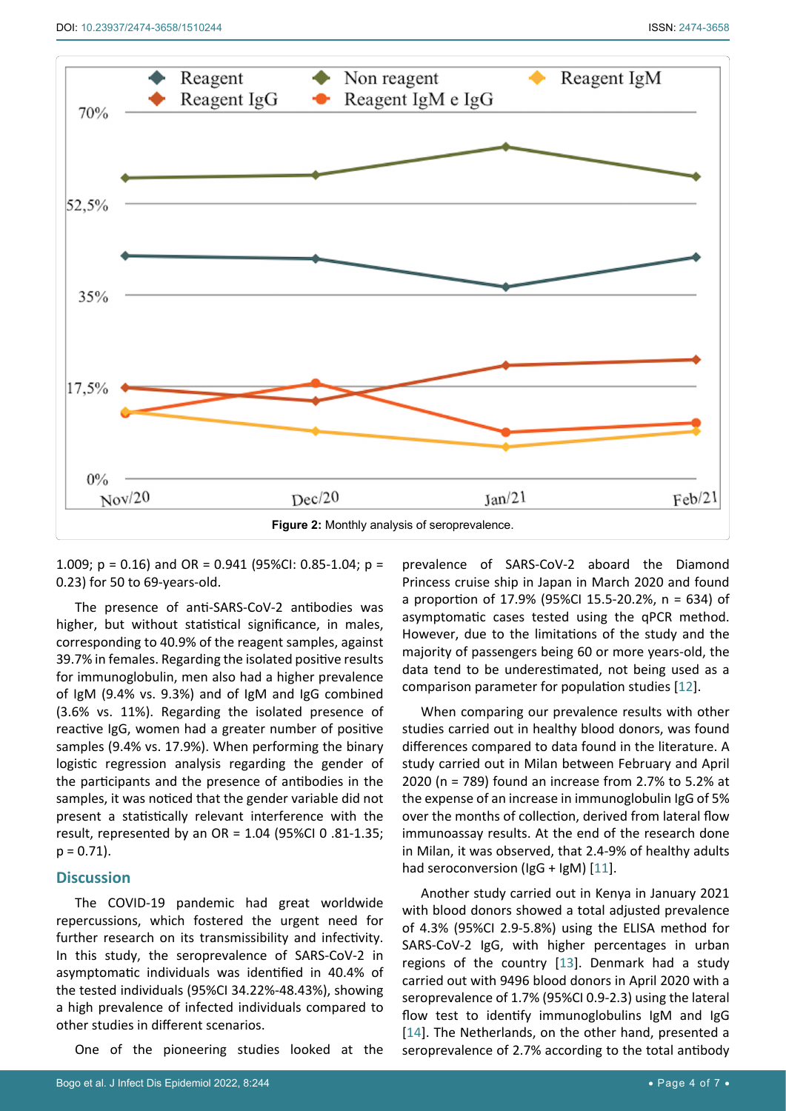<span id="page-3-0"></span>

1.009; p = 0.16) and OR = 0.941 (95%CI: 0.85-1.04; p = 0.23) for 50 to 69-years-old.

The presence of anti-SARS-CoV-2 antibodies was higher, but without statistical significance, in males, corresponding to 40.9% of the reagent samples, against 39.7% in females. Regarding the isolated positive results for immunoglobulin, men also had a higher prevalence of IgM (9.4% vs. 9.3%) and of IgM and IgG combined (3.6% vs. 11%). Regarding the isolated presence of reactive IgG, women had a greater number of positive samples (9.4% vs. 17.9%). When performing the binary logistic regression analysis regarding the gender of the participants and the presence of antibodies in the samples, it was noticed that the gender variable did not present a statistically relevant interference with the result, represented by an OR = 1.04 (95%CI 0 .81-1.35;  $p = 0.71$ ).

## **Discussion**

The COVID-19 pandemic had great worldwide repercussions, which fostered the urgent need for further research on its transmissibility and infectivity. In this study, the seroprevalence of SARS-CoV-2 in asymptomatic individuals was identified in 40.4% of the tested individuals (95%CI 34.22%-48.43%), showing a high prevalence of infected individuals compared to other studies in different scenarios.

One of the pioneering studies looked at the

prevalence of SARS-CoV-2 aboard the Diamond Princess cruise ship in Japan in March 2020 and found a proportion of 17.9% (95%CI 15.5-20.2%, n = 634) of asymptomatic cases tested using the qPCR method. However, due to the limitations of the study and the majority of passengers being 60 or more years-old, the data tend to be underestimated, not being used as a comparison parameter for population studies [[12](#page-5-11)].

When comparing our prevalence results with other studies carried out in healthy blood donors, was found differences compared to data found in the literature. A study carried out in Milan between February and April 2020 (n = 789) found an increase from 2.7% to 5.2% at the expense of an increase in immunoglobulin IgG of 5% over the months of collection, derived from lateral flow immunoassay results. At the end of the research done in Milan, it was observed, that 2.4-9% of healthy adults had seroconversion ( $\lg G$  +  $\lg M$ ) [\[11](#page-5-10)].

Another study carried out in Kenya in January 2021 with blood donors showed a total adjusted prevalence of 4.3% (95%CI 2.9-5.8%) using the ELISA method for SARS-CoV-2 IgG, with higher percentages in urban regions of the country [[13\]](#page-5-12). Denmark had a study carried out with 9496 blood donors in April 2020 with a seroprevalence of 1.7% (95%CI 0.9-2.3) using the lateral flow test to identify immunoglobulins IgM and IgG [\[14](#page-5-13)]. The Netherlands, on the other hand, presented a seroprevalence of 2.7% according to the total antibody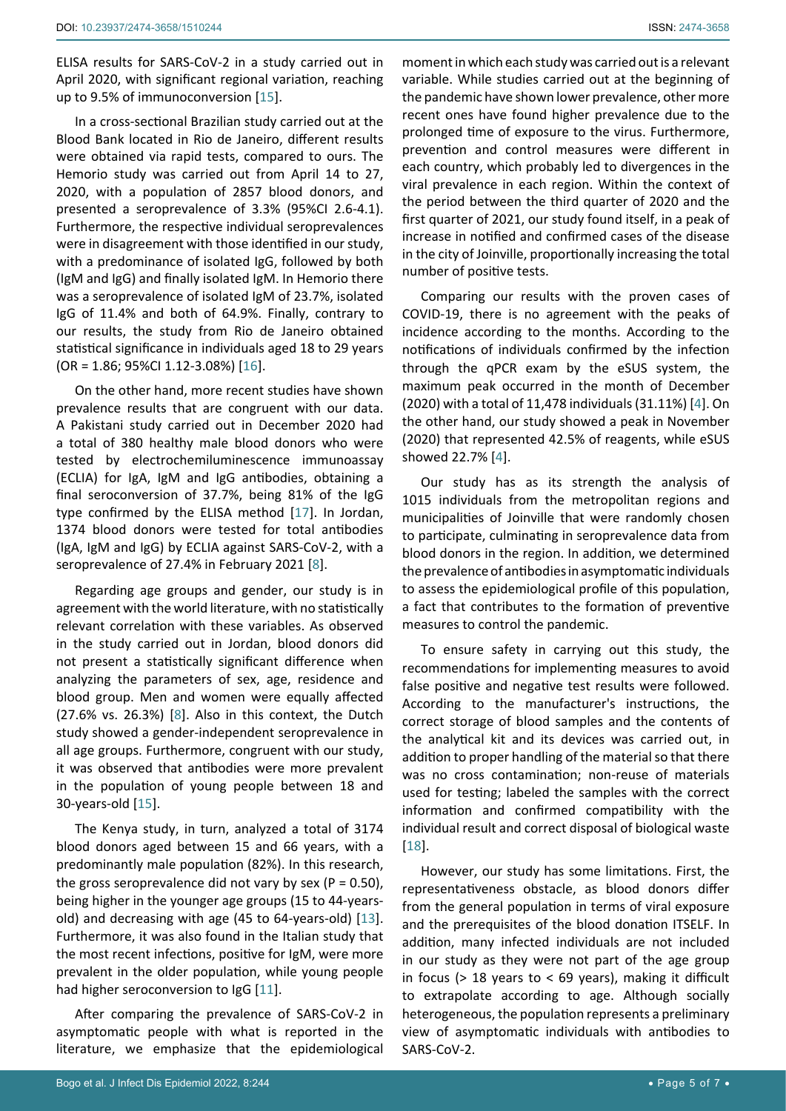ELISA results for SARS-CoV-2 in a study carried out in April 2020, with significant regional variation, reaching up to 9.5% of immunoconversion [[15\]](#page-6-1).

In a cross-sectional Brazilian study carried out at the Blood Bank located in Rio de Janeiro, different results were obtained via rapid tests, compared to ours. The Hemorio study was carried out from April 14 to 27, 2020, with a population of 2857 blood donors, and presented a seroprevalence of 3.3% (95%CI 2.6-4.1). Furthermore, the respective individual seroprevalences were in disagreement with those identified in our study, with a predominance of isolated IgG, followed by both (IgM and IgG) and finally isolated IgM. In Hemorio there was a seroprevalence of isolated IgM of 23.7%, isolated IgG of 11.4% and both of 64.9%. Finally, contrary to our results, the study from Rio de Janeiro obtained statistical significance in individuals aged 18 to 29 years (OR = 1.86; 95%CI 1.12-3.08%) [[16](#page-6-2)].

On the other hand, more recent studies have shown prevalence results that are congruent with our data. A Pakistani study carried out in December 2020 had a total of 380 healthy male blood donors who were tested by electrochemiluminescence immunoassay (ECLIA) for IgA, IgM and IgG antibodies, obtaining a final seroconversion of 37.7%, being 81% of the IgG type confirmed by the ELISA method [[17](#page-6-3)]. In Jordan, 1374 blood donors were tested for total antibodies (IgA, IgM and IgG) by ECLIA against SARS-CoV-2, with a seroprevalence of 27.4% in February 2021 [[8](#page-5-7)].

Regarding age groups and gender, our study is in agreement with the world literature, with no statistically relevant correlation with these variables. As observed in the study carried out in Jordan, blood donors did not present a statistically significant difference when analyzing the parameters of sex, age, residence and blood group. Men and women were equally affected (27.6% vs. 26.3%) [[8](#page-5-7)]. Also in this context, the Dutch study showed a gender-independent seroprevalence in all age groups. Furthermore, congruent with our study, it was observed that antibodies were more prevalent in the population of young people between 18 and 30-years-old [\[15](#page-6-1)].

The Kenya study, in turn, analyzed a total of 3174 blood donors aged between 15 and 66 years, with a predominantly male population (82%). In this research, the gross seroprevalence did not vary by sex ( $P = 0.50$ ), being higher in the younger age groups (15 to 44-yearsold) and decreasing with age (45 to 64-years-old) [[13](#page-5-12)]. Furthermore, it was also found in the Italian study that the most recent infections, positive for IgM, were more prevalent in the older population, while young people had higher seroconversion to IgG [\[11\]](#page-5-10).

After comparing the prevalence of SARS-CoV-2 in asymptomatic people with what is reported in the literature, we emphasize that the epidemiological

moment in which each study was carried out is a relevant variable. While studies carried out at the beginning of the pandemic have shown lower prevalence, other more recent ones have found higher prevalence due to the prolonged time of exposure to the virus. Furthermore, prevention and control measures were different in each country, which probably led to divergences in the viral prevalence in each region. Within the context of the period between the third quarter of 2020 and the first quarter of 2021, our study found itself, in a peak of increase in notified and confirmed cases of the disease in the city of Joinville, proportionally increasing the total number of positive tests.

Comparing our results with the proven cases of COVID-19, there is no agreement with the peaks of incidence according to the months. According to the notifications of individuals confirmed by the infection through the qPCR exam by the eSUS system, the maximum peak occurred in the month of December (2020) with a total of 11,478 individuals (31.11%) [[4\]](#page-5-3). On the other hand, our study showed a peak in November (2020) that represented 42.5% of reagents, while eSUS showed 22.7% [[4](#page-5-3)].

Our study has as its strength the analysis of 1015 individuals from the metropolitan regions and municipalities of Joinville that were randomly chosen to participate, culminating in seroprevalence data from blood donors in the region. In addition, we determined the prevalence of antibodies in asymptomatic individuals to assess the epidemiological profile of this population, a fact that contributes to the formation of preventive measures to control the pandemic.

To ensure safety in carrying out this study, the recommendations for implementing measures to avoid false positive and negative test results were followed. According to the manufacturer's instructions, the correct storage of blood samples and the contents of the analytical kit and its devices was carried out, in addition to proper handling of the material so that there was no cross contamination; non-reuse of materials used for testing; labeled the samples with the correct information and confirmed compatibility with the individual result and correct disposal of biological waste [\[18](#page-6-0)].

However, our study has some limitations. First, the representativeness obstacle, as blood donors differ from the general population in terms of viral exposure and the prerequisites of the blood donation ITSELF. In addition, many infected individuals are not included in our study as they were not part of the age group in focus ( $> 18$  years to  $< 69$  years), making it difficult to extrapolate according to age. Although socially heterogeneous, the population represents a preliminary view of asymptomatic individuals with antibodies to SARS-CoV-2.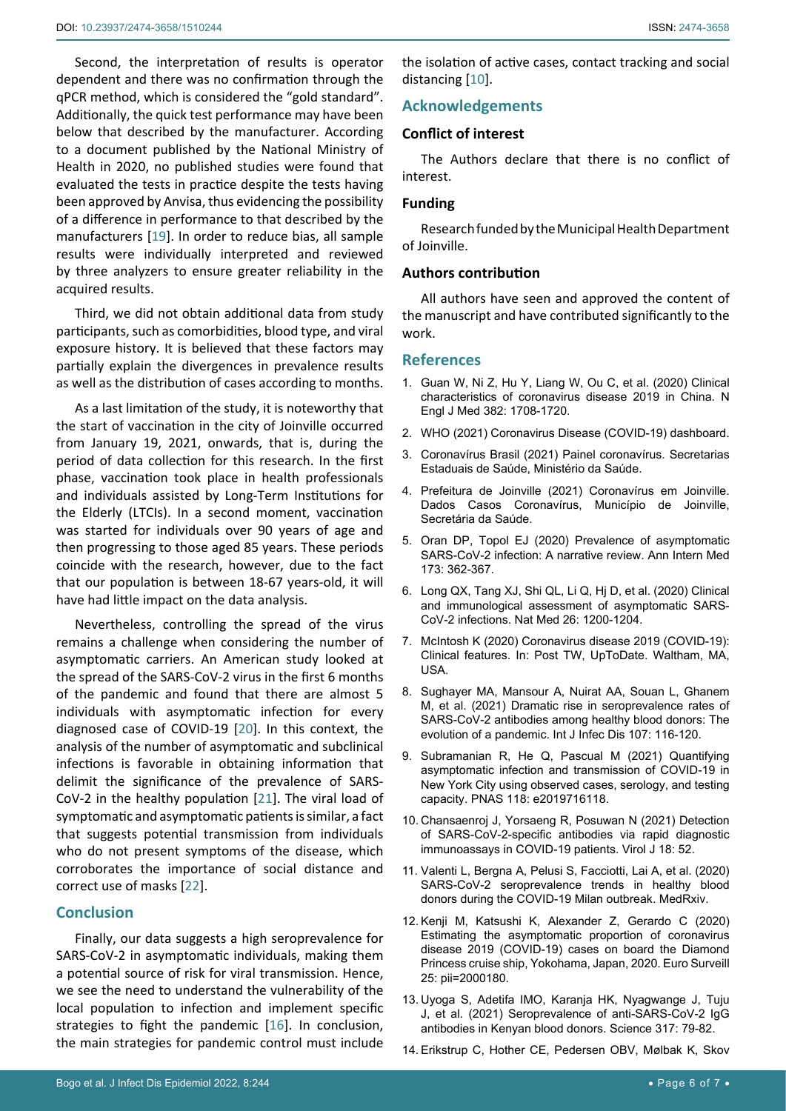Second, the interpretation of results is operator dependent and there was no confirmation through the qPCR method, which is considered the "gold standard". Additionally, the quick test performance may have been below that described by the manufacturer. According to a document published by the National Ministry of Health in 2020, no published studies were found that evaluated the tests in practice despite the tests having been approved by Anvisa, thus evidencing the possibility of a difference in performance to that described by the manufacturers [[19](#page-6-4)]. In order to reduce bias, all sample results were individually interpreted and reviewed by three analyzers to ensure greater reliability in the acquired results.

Third, we did not obtain additional data from study participants, such as comorbidities, blood type, and viral exposure history. It is believed that these factors may partially explain the divergences in prevalence results as well as the distribution of cases according to months.

As a last limitation of the study, it is noteworthy that the start of vaccination in the city of Joinville occurred from January 19, 2021, onwards, that is, during the period of data collection for this research. In the first phase, vaccination took place in health professionals and individuals assisted by Long-Term Institutions for the Elderly (LTCIs). In a second moment, vaccination was started for individuals over 90 years of age and then progressing to those aged 85 years. These periods coincide with the research, however, due to the fact that our population is between 18-67 years-old, it will have had little impact on the data analysis.

Nevertheless, controlling the spread of the virus remains a challenge when considering the number of asymptomatic carriers. An American study looked at the spread of the SARS-CoV-2 virus in the first 6 months of the pandemic and found that there are almost 5 individuals with asymptomatic infection for every diagnosed case of COVID-19 [\[20\]](#page-6-5). In this context, the analysis of the number of asymptomatic and subclinical infections is favorable in obtaining information that delimit the significance of the prevalence of SARS-CoV-2 in the healthy population [[21](#page-6-6)]. The viral load of symptomatic and asymptomatic patients is similar, a fact that suggests potential transmission from individuals who do not present symptoms of the disease, which corroborates the importance of social distance and correct use of masks [\[22](#page-6-7)].

## **Conclusion**

Finally, our data suggests a high seroprevalence for SARS-CoV-2 in asymptomatic individuals, making them a potential source of risk for viral transmission. Hence, we see the need to understand the vulnerability of the local population to infection and implement specific strategies to fight the pandemic [[16](#page-6-2)]. In conclusion, the main strategies for pandemic control must include

the isolation of active cases, contact tracking and social distancing [\[10](#page-5-9)].

## **Acknowledgements**

#### **Conflict of interest**

The Authors declare that there is no conflict of interest.

#### **Funding**

Research funded by the Municipal Health Department of Joinville.

#### **Authors contribution**

All authors have seen and approved the content of the manuscript and have contributed significantly to the work.

#### **References**

- <span id="page-5-0"></span>1. [Guan W, Ni Z, Hu Y, Liang W, Ou C, et al. \(2020\) Clinical](https://www.nejm.org/doi/full/10.1056/nejmoa2002032)  [characteristics of coronavirus disease 2019 in China. N](https://www.nejm.org/doi/full/10.1056/nejmoa2002032)  [Engl J Med 382: 1708-1720.](https://www.nejm.org/doi/full/10.1056/nejmoa2002032)
- <span id="page-5-1"></span>2. [WHO \(2021\) Coronavirus Disease \(COVID-19\) dashboard.](https://covid19.who.int/)
- <span id="page-5-2"></span>3. [Coronavírus Brasil \(2021\) Painel coronavírus. Secretarias](https://covid.saude.gov.br/)  [Estaduais de Saúde, Ministério da Saúde.](https://covid.saude.gov.br/)
- <span id="page-5-3"></span>4. [Prefeitura de Joinville \(2021\) Coronavírus em Joinville.](https://www.joinville.sc.gov.br/coronavirus/)  [Dados Casos Coronavírus, Município de Joinville,](https://www.joinville.sc.gov.br/coronavirus/)  [Secretária da Saúde.](https://www.joinville.sc.gov.br/coronavirus/)
- <span id="page-5-4"></span>5. [Oran DP, Topol EJ \(2020\) Prevalence of asymptomatic](https://www.acpjournals.org/doi/10.7326/M20-3012)  [SARS-CoV-2 infection: A narrative review. Ann Intern Med](https://www.acpjournals.org/doi/10.7326/M20-3012)  [173: 362-367.](https://www.acpjournals.org/doi/10.7326/M20-3012)
- <span id="page-5-5"></span>6. [Long QX, Tang XJ, Shi QL, Li Q, Hj D, et al. \(2020\) Clinical](https://europepmc.org/article/med/32555424)  [and immunological assessment of asymptomatic SARS-](https://europepmc.org/article/med/32555424)[CoV-2 infections. Nat Med 26: 1200-1204.](https://europepmc.org/article/med/32555424)
- <span id="page-5-6"></span>7. McIntosh K (2020) Coronavirus disease 2019 (COVID-19): Clinical features. In: Post TW, UpToDate. Waltham, MA, USA.
- <span id="page-5-7"></span>8. [Sughayer MA, Mansour A, Nuirat AA, Souan L, Ghanem](https://pubmed.ncbi.nlm.nih.gov/33892190/)  [M, et al. \(2021\) Dramatic rise in seroprevalence rates of](https://pubmed.ncbi.nlm.nih.gov/33892190/)  [SARS-CoV-2 antibodies among healthy blood donors: The](https://pubmed.ncbi.nlm.nih.gov/33892190/)  [evolution of a pandemic. Int J Infec Dis 107: 116-120.](https://pubmed.ncbi.nlm.nih.gov/33892190/)
- <span id="page-5-8"></span>9. [Subramanian R, He Q, Pascual M \(2021\) Quantifying](https://www.medrxiv.org/content/10.1101/2020.10.16.20214049v1)  [asymptomatic infection and transmission of COVID-19 in](https://www.medrxiv.org/content/10.1101/2020.10.16.20214049v1)  [New York City using observed cases, serology, and testing](https://www.medrxiv.org/content/10.1101/2020.10.16.20214049v1)  [capacity. PNAS 118: e2019716118.](https://www.medrxiv.org/content/10.1101/2020.10.16.20214049v1)
- <span id="page-5-9"></span>10. [Chansaenroj J, Yorsaeng R, Posuwan N \(2021\) Detection](https://virologyj.biomedcentral.com/articles/10.1186/s12985-021-01530-2)  [of SARS-CoV-2-specific antibodies via rapid diagnostic](https://virologyj.biomedcentral.com/articles/10.1186/s12985-021-01530-2)  [immunoassays in COVID-19 patients. Virol J 18: 52.](https://virologyj.biomedcentral.com/articles/10.1186/s12985-021-01530-2)
- <span id="page-5-10"></span>11. [Valenti L, Bergna A, Pelusi S, Facciotti, Lai A, et al. \(2020\)](https://www.medrxiv.org/content/10.1101/2020.05.11.20098442v2)  [SARS-CoV-2 seroprevalence trends in healthy blood](https://www.medrxiv.org/content/10.1101/2020.05.11.20098442v2)  [donors during the COVID-19 Milan outbreak. MedRxiv.](https://www.medrxiv.org/content/10.1101/2020.05.11.20098442v2)
- <span id="page-5-11"></span>12. [Kenji M, Katsushi K, Alexander Z, Gerardo C \(2020\)](https://www.eurosurveillance.org/content/10.2807/1560-7917.ES.2020.25.10.2000180)  [Estimating the asymptomatic proportion of coronavirus](https://www.eurosurveillance.org/content/10.2807/1560-7917.ES.2020.25.10.2000180)  [disease 2019 \(COVID-19\) cases on board the Diamond](https://www.eurosurveillance.org/content/10.2807/1560-7917.ES.2020.25.10.2000180)  [Princess cruise ship, Yokohama, Japan, 2020. Euro Surveill](https://www.eurosurveillance.org/content/10.2807/1560-7917.ES.2020.25.10.2000180)  [25: pii=2000180.](https://www.eurosurveillance.org/content/10.2807/1560-7917.ES.2020.25.10.2000180)
- <span id="page-5-12"></span>13. [Uyoga S, Adetifa IMO, Karanja HK, Nyagwange J, Tuju](https://pubmed.ncbi.nlm.nih.gov/33177105/)  [J, et al. \(2021\) Seroprevalence of anti-SARS-CoV-2 IgG](https://pubmed.ncbi.nlm.nih.gov/33177105/)  [antibodies in Kenyan blood donors. Science 317: 79-82.](https://pubmed.ncbi.nlm.nih.gov/33177105/)
- <span id="page-5-13"></span>14. [Erikstrup C, Hother CE, Pedersen OBV, Mølbak K, Skov](https://pubmed.ncbi.nlm.nih.gov/33501969/)